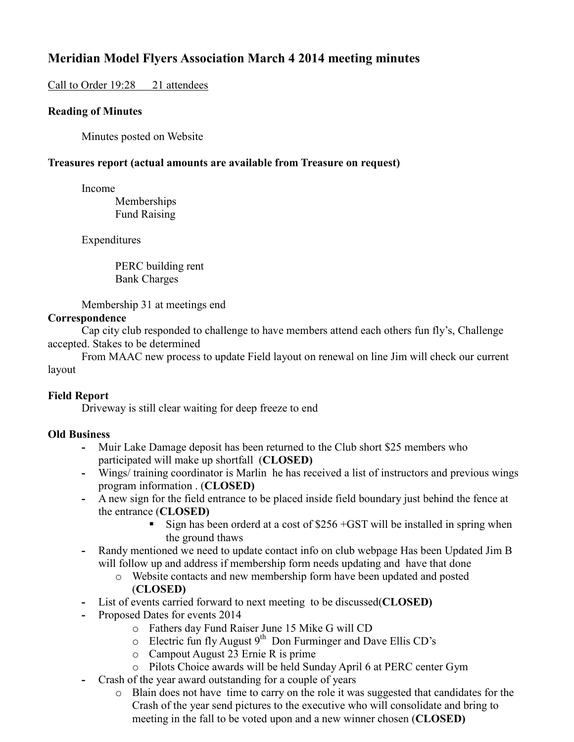# **Meridian Model Flyers Association March 4 2014 meeting minutes**

## Call to Order 19:28 21 attendees

## **Reading of Minutes**

Minutes posted on Website

## **Treasures report (actual amounts are available from Treasure on request)**

Income

 Memberships Fund Raising

Expenditures

 PERC building rent Bank Charges

Membership 31 at meetings end

## **Correspondence**

Cap city club responded to challenge to have members attend each others fun fly's, Challenge accepted. Stakes to be determined

From MAAC new process to update Field layout on renewal on line Jim will check our current layout

## **Field Report**

Driveway is still clear waiting for deep freeze to end

## **Old Business**

- **-** Muir Lake Damage deposit has been returned to the Club short \$25 members who participated will make up shortfall (**CLOSED)**
- **-** Wings/ training coordinator is Marlin he has received a list of instructors and previous wings program information . (**CLOSED)**
- **-** A new sign for the field entrance to be placed inside field boundary just behind the fence at the entrance (**CLOSED)**
	- Sign has been orderd at a cost of \$256 +GST will be installed in spring when the ground thaws
- **-** Randy mentioned we need to update contact info on club webpage Has been Updated Jim B will follow up and address if membership form needs updating and have that done
	- o Website contacts and new membership form have been updated and posted (**CLOSED)**
- **-** List of events carried forward to next meeting to be discussed(**CLOSED)**
- **-** Proposed Dates for events 2014
	- o Fathers day Fund Raiser June 15 Mike G will CD
	- $\circ$  Electric fun fly August 9<sup>th</sup> Don Furminger and Dave Ellis CD's
	- o Campout August 23 Ernie R is prime
	- o Pilots Choice awards will be held Sunday April 6 at PERC center Gym
- **-** Crash of the year award outstanding for a couple of years
	- o Blain does not have time to carry on the role it was suggested that candidates for the Crash of the year send pictures to the executive who will consolidate and bring to meeting in the fall to be voted upon and a new winner chosen (**CLOSED)**